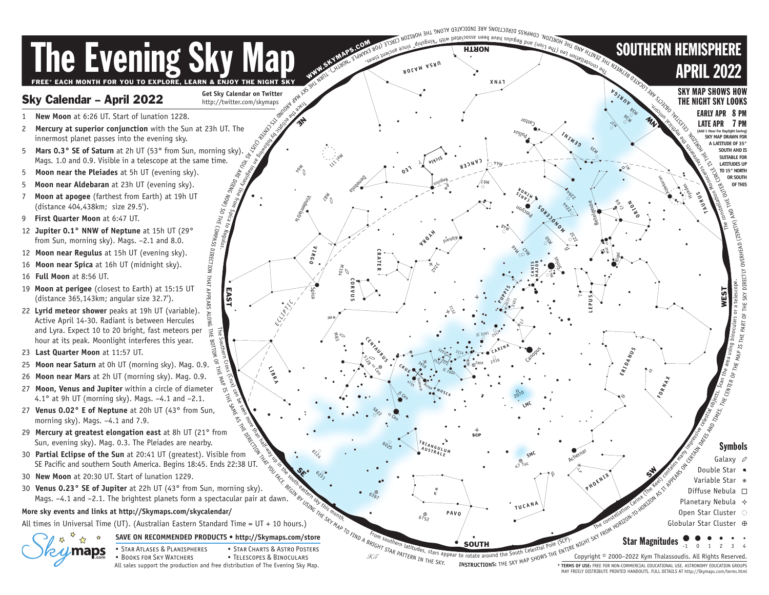

MAY FREELY DISTRIBUTE PRINTED HANDOUTS. FULL DETAILS AT http://Skymaps.com/terms.html